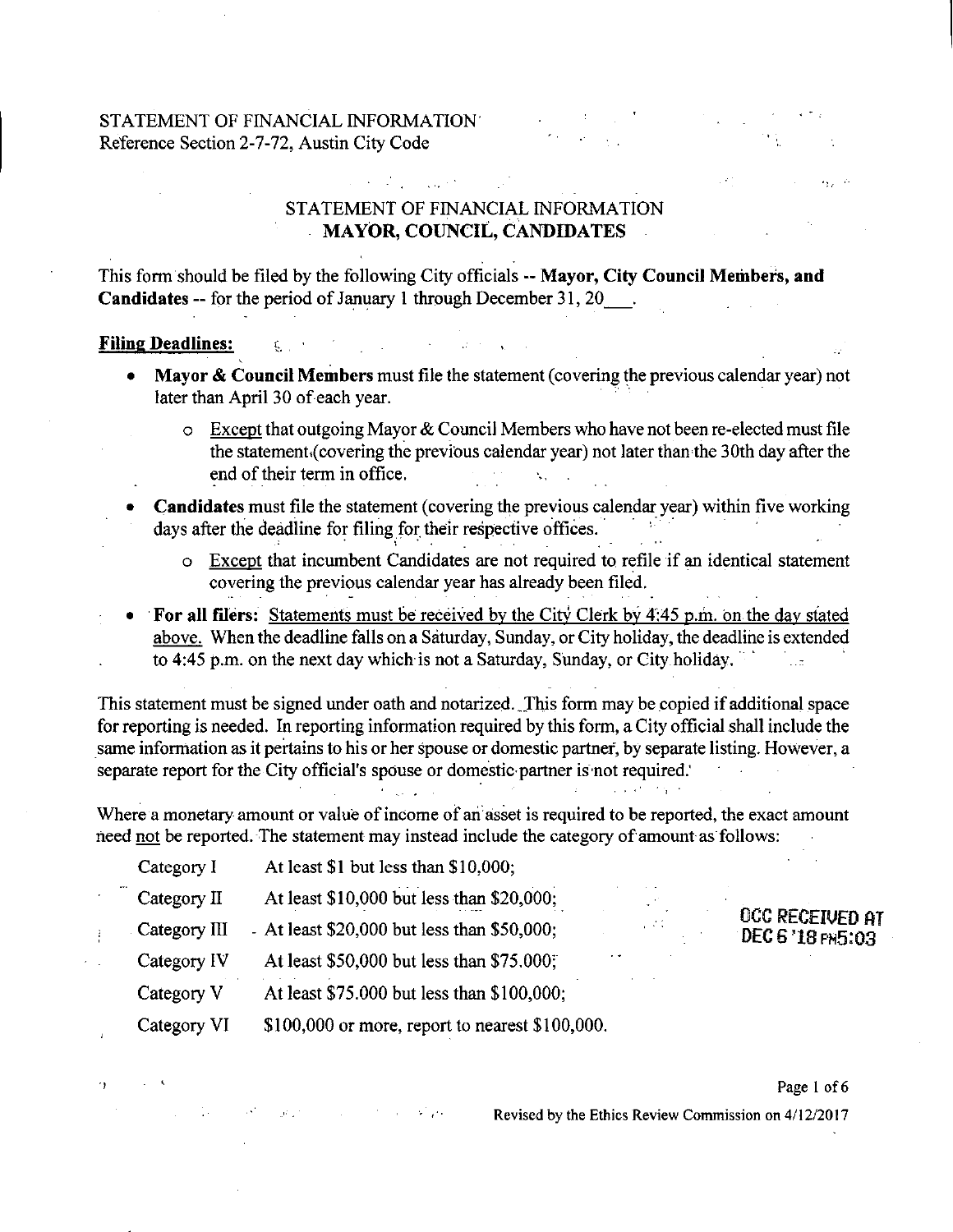# **STATEMENT OF FINANCIAL INFORMATION MAYOR, COUNCIL, CANDIDATES**

 $\mathcal{L}_{\mathcal{A}}$  and  $\mathcal{L}_{\mathcal{A}}$  are the set of the set of the set of the  $\mathcal{L}_{\mathcal{A}}$ 

This form should be filed by the following City officials -- Mayor, City Council Members, and Candidates -- for the period of January 1 through December 31, 20 .

#### **Filing Deadlines:**

 $^{\prime}$ 

- Mayor & Council Members must file the statement (covering the previous calendar year) not later than April 30 of each year.
	- $\circ$  Except that outgoing Mayor & Council Members who have not been re-elected must file the statementi(covering the previous calendar year) not later than the 30th day after the end of their term in office. \, ,
- Candidates must file the statement (covering the previous calendar year) within five working days after the deadline for filing for their respective offices.
	- o Except that incumbent Candidates are not required to refile if an identical statement covering the previous calendar year has already been filed.
- For all filers: Statements must be received by the City Clerk by 4:45 p.m. on the day stated above. When the deadline falls on a Saturday, Sunday, or City holiday, the deadline is extended to 4:45 p.m. on the next day which is not a Saturday, Sunday, or City holiday.

This statement must be signed under oath and notarized. \_This form may be copied if additional space for reporting is needed. In reporting information required by this form, a City official shall include the same information as it pertains to his or her spouse or domestic partner, by separate listing. However, a separate report for the City official's spouse or domestic partner is not required.'

Where a monetary amount or value of income of an asset is required to be reported, the exact amount need not be reported. The statement may instead include the category of amount as follows:

Category I At least \$1 but less than \$10,000; Category II At least \$10,000 but less than \$20,000; Category III - At least  $$20,000$  but less than  $$50,000$ ; Category IV At least  $$50,000$  but less than  $$75,000$ ; Category V At least \$75,000 but less than \$100,000; Category VI  $$100,000$  or more, report to nearest \$100,000.

and the company of the state of the

### Page 1 of 6

OCC RECEIVED AT<br>DEC 6 '18 PH5:03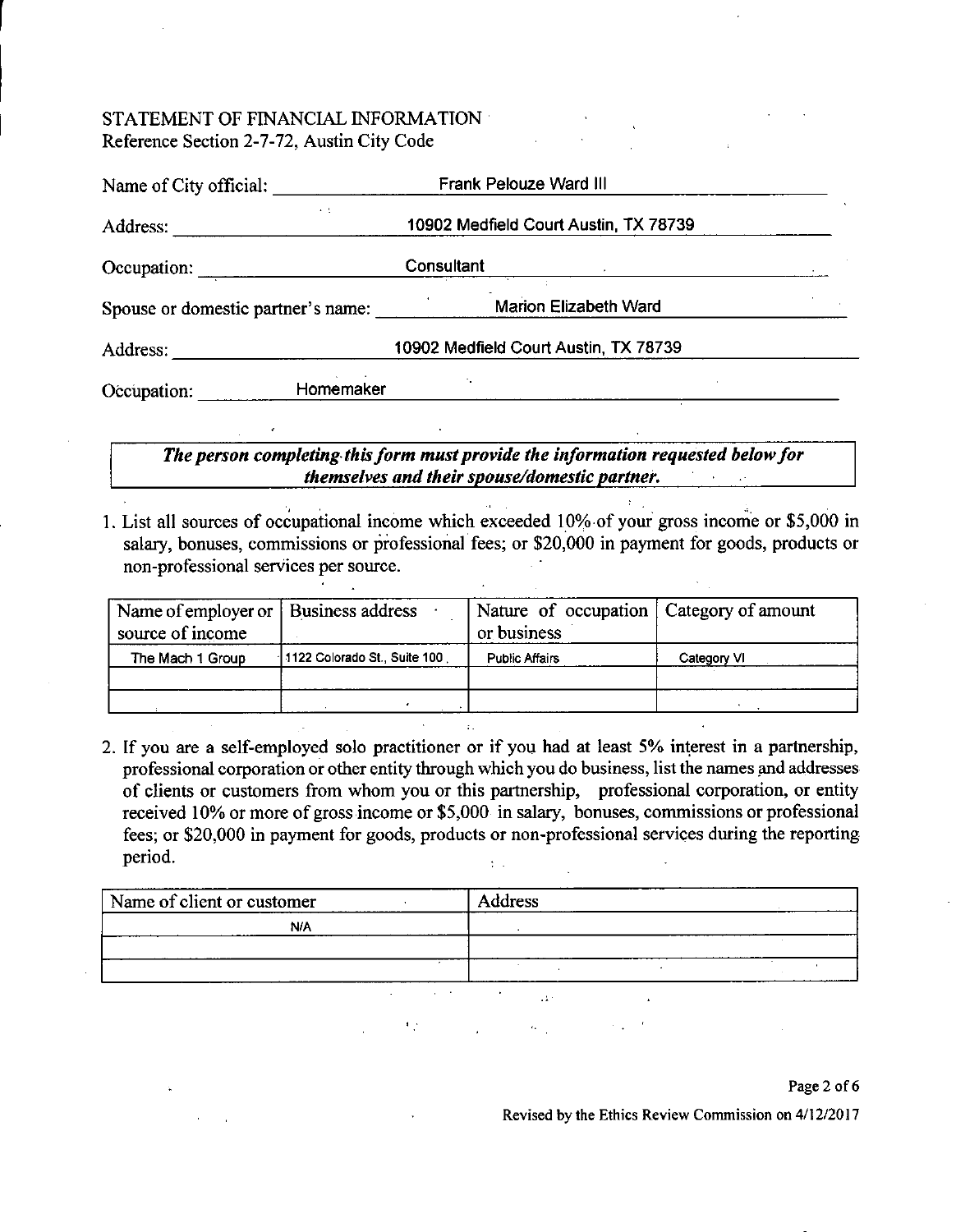| Name of City official:             | Frank Pelouze Ward III                |
|------------------------------------|---------------------------------------|
| $\cdot$ .<br>Address:              | 10902 Medfield Court Austin, TX 78739 |
| Occupation:                        | Consultant                            |
| Spouse or domestic partner's name: | <b>Marion Elizabeth Ward</b>          |
| Address:                           | 10902 Medfield Court Austin, TX 78739 |
| Homemaker<br>Occupation:           |                                       |

*The person completing this form must provide the information requested below for themselves and their spouse/domestic partner.* 

 $\mathcal{L}^{\text{max}}$ 

1. List all sources of occupational income which exceeded 10% of your gross income or \$5,000 in salary, bonuses, commissions or professional fees; or \$20,000 in payment for goods, products or non-professional services per source.

| Name of employer or   Business address<br>source of income |                              | Nature of occupation   Category of amount<br>or business |             |
|------------------------------------------------------------|------------------------------|----------------------------------------------------------|-------------|
| The Mach 1 Group                                           | 1122 Colorado St., Suite 100 | <b>Public Affairs</b>                                    | Category VI |
|                                                            |                              |                                                          |             |
|                                                            |                              |                                                          |             |

2. If you are a self-employed solo practitioner or if you had at least 5% interest in a partnership, professional corporation or other entity through which you do business, list the names and addresses of clients or customers from whom you or this partnership, professional corporation, or entity received 10% or more of gross income or \$5,000 in salary, bonuses, commissions or professional fees; or \$20,000 in payment for goods, products or non-professional services during the reporting period.  $\mathcal{L}$ 

| Name of client or customer |                                          | Address                 |                     |                         |
|----------------------------|------------------------------------------|-------------------------|---------------------|-------------------------|
| N/A                        |                                          |                         |                     |                         |
|                            |                                          |                         |                     |                         |
|                            |                                          | $\sim$                  | $\hat{\phantom{a}}$ |                         |
|                            | <b>Service</b><br><b>Service Control</b> | $\bullet$<br>$\sim 2.7$ |                     |                         |
|                            | $\blacksquare$                           | $\sim 10$               |                     |                         |
|                            |                                          |                         |                     |                         |
|                            |                                          |                         |                     | $\sim$ $\sim$<br>$\sim$ |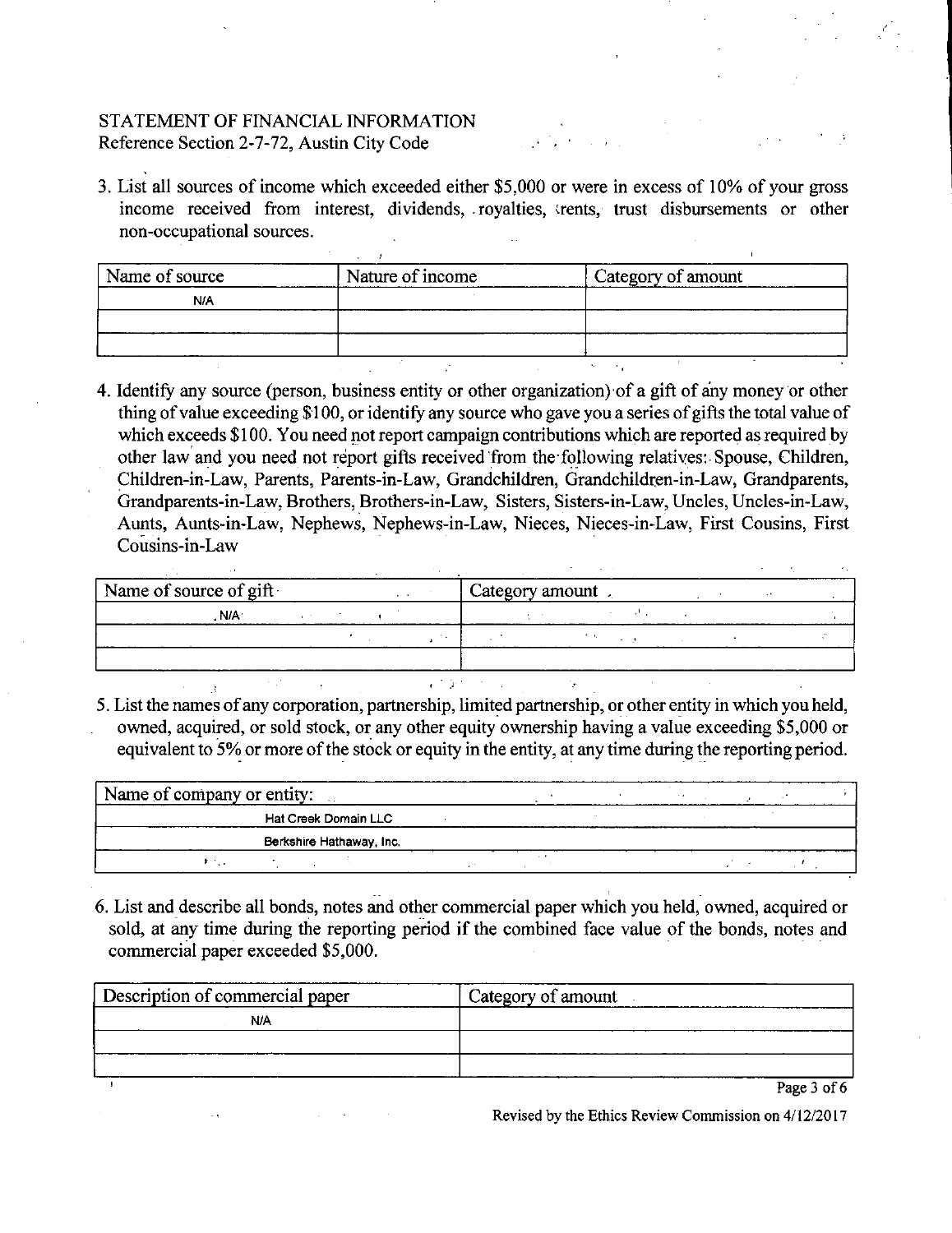3. List all sources of income which exceeded either \$5,000 or were in excess of 10% of your gross income received from interest, dividends, royalties, trents, trust disbursements or other non-occupational sources.

|            | Nature of income | Category of amount |
|------------|------------------|--------------------|
| <b>N/A</b> |                  |                    |
|            |                  |                    |
|            |                  |                    |

4. Identify any source (person, business entity or other organization) of a gift of any money or other thing of value exceeding \$100, or identify any source who gave you a series of gifts the total value of which exceeds \$100. You need not report campaign contributions which are reported as required by other law and you need not report gifts received from the following relatiyes: Spouse, Children, Children-in-Law, Parents, Parents-in-Law, Grandchildren, Grandchildren-in-Law, Grandparents, Grandparents-in-Law, Brothers, Brothers-in-Law, Sisters, Sisters-in-Law, Uncles, Uncles-in-Law, Aunts, Aunts-in-Law, Nephews, Nephews-in-Law, Nieces, Nieces-in-Law, First Cousins, First Cousins-in-Law

| Name of source of gift |  | Category amount |  |  |
|------------------------|--|-----------------|--|--|
| . N/A                  |  |                 |  |  |
|                        |  |                 |  |  |
|                        |  |                 |  |  |
|                        |  |                 |  |  |

equivalent to 5% or more of the stock or equity in the entity, at any time during the reporting period.

| Name of company or entity:  |  |
|-----------------------------|--|
| <b>Hat Creek Domain LLC</b> |  |
| Berkshire Hathaway, Inc.    |  |
|                             |  |

6. List and describe all bonds, notes and other commercial paper which you held, owned, acquired or sold, at any time during the reporting period if the combined face value of the bonds, notes and commercial paper exceeded \$5,000.

| Description of commercial paper | Category of amount            |
|---------------------------------|-------------------------------|
| N/A                             |                               |
|                                 |                               |
|                                 |                               |
|                                 | $D$ <sub>are</sub> $2$ of $6$ |

Page 3 of 6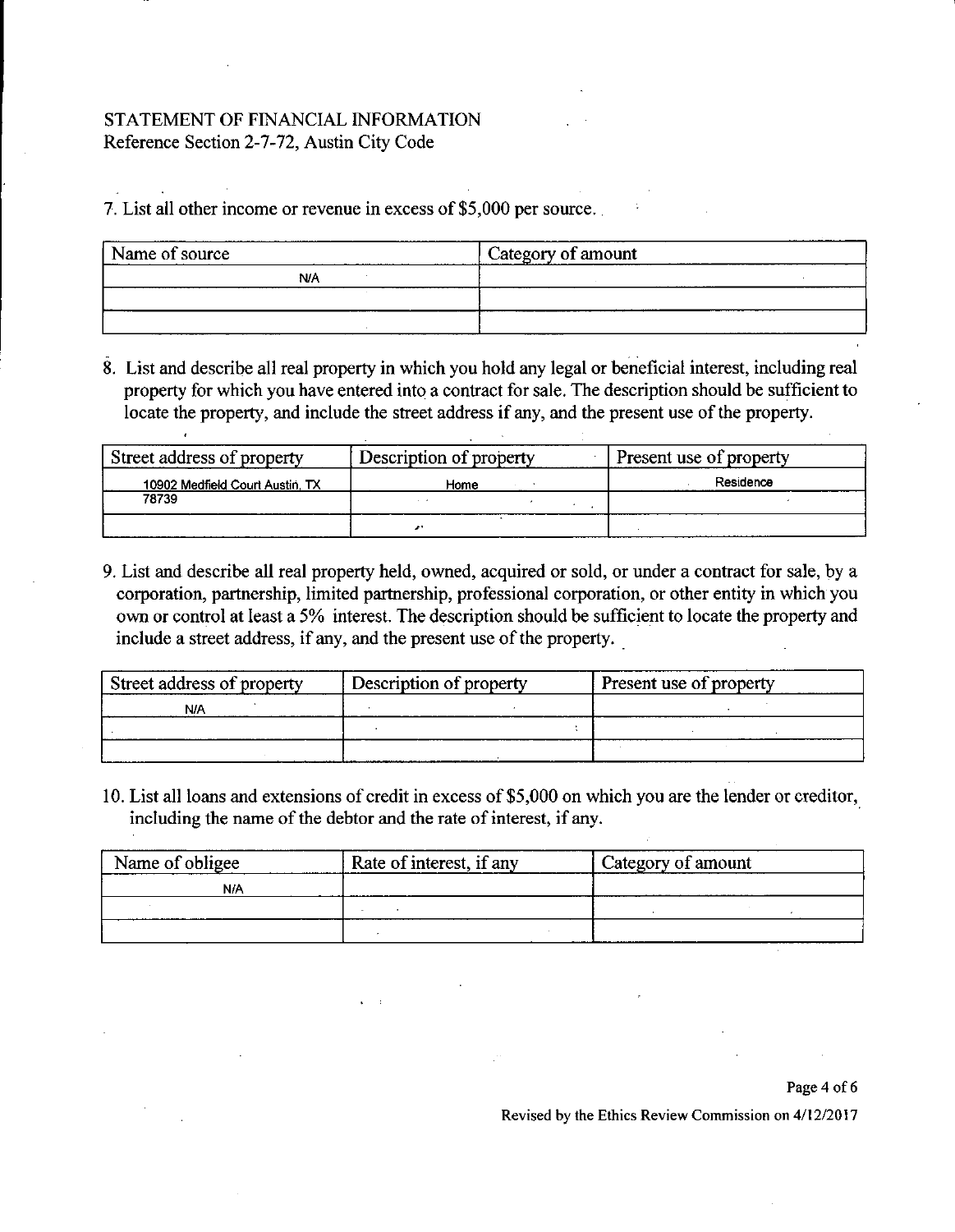7. List all other income or revenue in excess of \$5,000 per source.

| Name of source | ' Category of amount |
|----------------|----------------------|
| N/A            | __________________   |
|                |                      |
|                |                      |

8. List and describe all real property in which you hold any legal or beneficial interest, including real property for which you have entered into a contract for sale. The description should be sufficient to locate the property, and include the street address if any, and the present use of the property.

| Street address of property      | Description of property | Present use of property |
|---------------------------------|-------------------------|-------------------------|
| 10902 Medfield Court Austin, TX | Home                    | Residence               |
| 78739                           |                         |                         |
|                                 |                         |                         |

9. List and describe all real property held, owned, acquired or sold, or under a contract for sale, by a corporation, partnership, limited partnership, professional corporation, or other entity in which you own or control at least a 5% interest. The description should be sufficient to locate the property and include a street address, if any, and the present use of the property.

| Street address of property | Description of property | Present use of property |
|----------------------------|-------------------------|-------------------------|
| N١                         |                         |                         |
|                            |                         |                         |
|                            |                         |                         |

10. List all loans and extensions of credit in excess of \$5,000 on which you are the lender or creditor, including the name of the debtor and the rate of interest, if any.

| Name of obligee | Rate of interest, if any | Category of amount |
|-----------------|--------------------------|--------------------|
| <b>N/A</b>      |                          |                    |
|                 |                          |                    |
|                 |                          |                    |

#### Page 4 of 6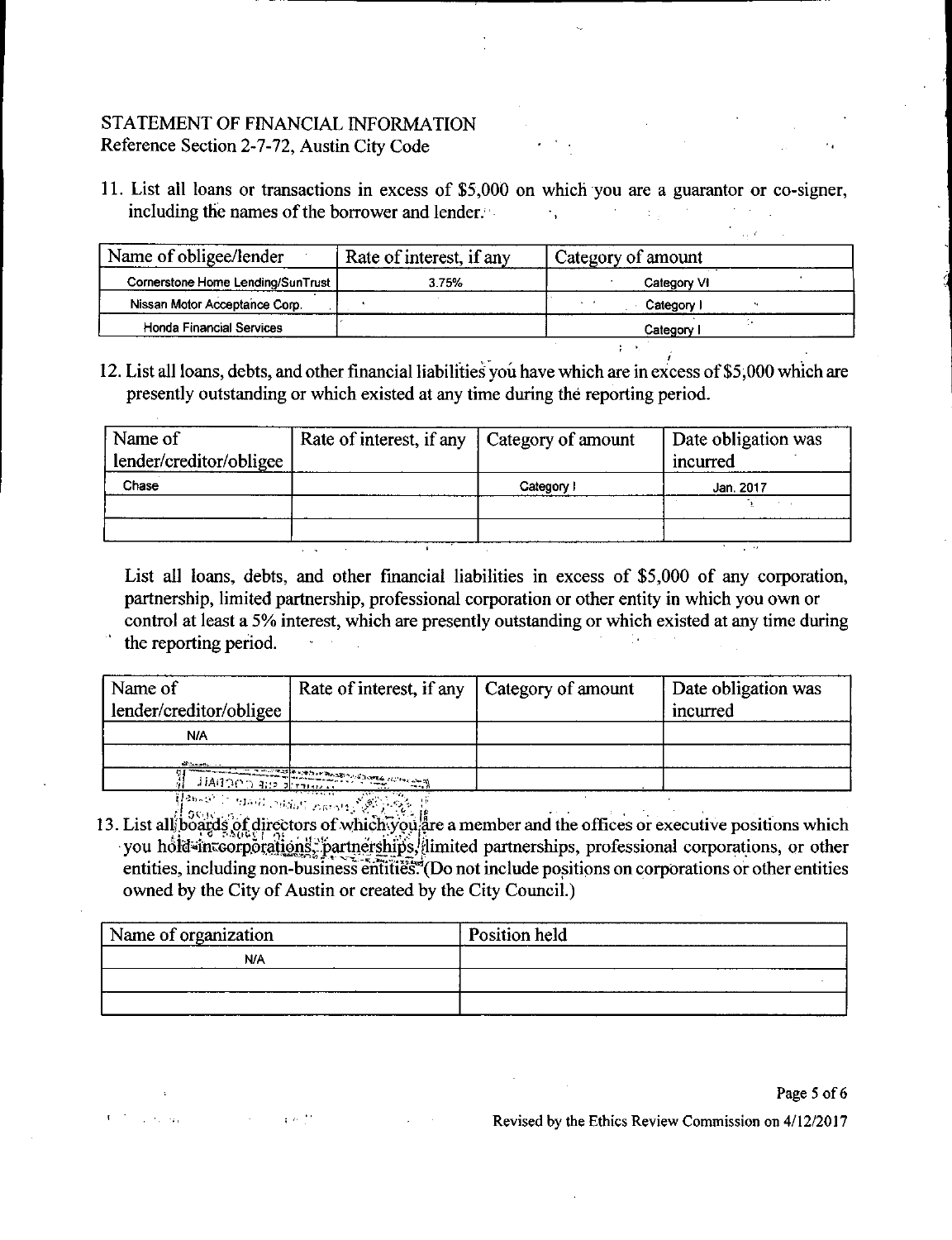11. List all loans or transactions in excess of \$5,000 on which you are a guarantor or co-signer, including the names of the borrower and lender.  $\mathcal{F}_{\mathbf{r}}$  .

| Name of obligee/lender            | Rate of interest, if any | Category of amount |
|-----------------------------------|--------------------------|--------------------|
| Cornerstone Home Lending/SunTrust | 3.75%                    | Category VI        |
| Nissan Motor Acceptance Corp.     |                          | Category           |
| Honda Financial Services          |                          | Category           |
|                                   |                          |                    |

12. List all loans, debts, and other financial liabilities you have which are in excess of \$5,000 which are presently outstanding or which existed at any time during the reporting period.

| Name of                 | Rate of interest, if any   Category of amount |          | Date obligation was |  |
|-------------------------|-----------------------------------------------|----------|---------------------|--|
| lender/creditor/obligee |                                               |          | incurred            |  |
| Chase                   |                                               | Category | Jan. 2017           |  |
|                         |                                               |          |                     |  |
|                         |                                               |          |                     |  |

List all loans, debts, and other financial liabilities in excess of \$5,000 of any corporation, partnership, limited partnership, professional corporation or other entity in which you own or *control at least a 5% interest, which are presently outstanding or which existed at any time during the reporting period. - • -*

| Name of<br>lender/creditor/obligee | Rate of interest, if any   Category of amount         | Date obligation was<br>incurred |
|------------------------------------|-------------------------------------------------------|---------------------------------|
| N/A                                |                                                       |                                 |
|                                    |                                                       |                                 |
|                                    |                                                       |                                 |
|                                    | <b>EXAMPLE IN PROPERTY AND INTERNATIONAL PROPERTY</b> |                                 |

 $^{\circ}$  the  $\mu$  industry  $_{\rm 2.68\,Mpc}$  ,  $\%$  is a point  $^{\circ}$ 

13. List all boards of directors of which you are a member and the offices or executive positions which you hold=inteorporalions. partnerships, limited partnerships, professional corporations, or other entities, including non-business entities. (Do not include positions on corporations or other entities owned by the City of Austin or created by the City Council.)

| Name of organization | Position held |
|----------------------|---------------|
| N/A                  |               |
|                      |               |
|                      |               |

Page 5 of 6

**Controller**